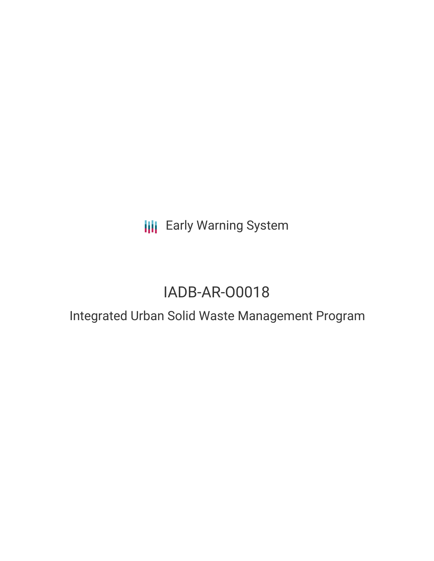# **III** Early Warning System

# IADB-AR-O0018

# Integrated Urban Solid Waste Management Program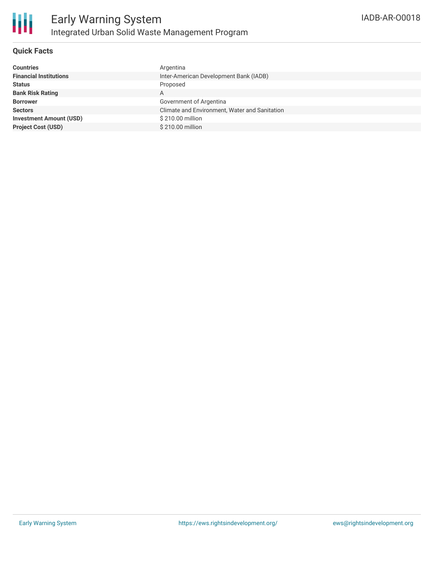

## **Quick Facts**

| <b>Countries</b>               | Argentina                                     |
|--------------------------------|-----------------------------------------------|
| <b>Financial Institutions</b>  | Inter-American Development Bank (IADB)        |
| <b>Status</b>                  | Proposed                                      |
| <b>Bank Risk Rating</b>        | A                                             |
| <b>Borrower</b>                | Government of Argentina                       |
|                                |                                               |
| <b>Sectors</b>                 | Climate and Environment, Water and Sanitation |
| <b>Investment Amount (USD)</b> | \$210.00 million                              |
| <b>Project Cost (USD)</b>      | \$210.00 million                              |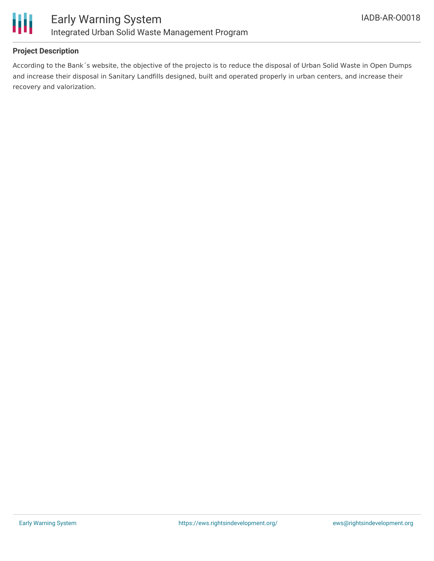

## **Project Description**

According to the Bank´s website, the objective of the projecto is to reduce the disposal of Urban Solid Waste in Open Dumps and increase their disposal in Sanitary Landfills designed, built and operated properly in urban centers, and increase their recovery and valorization.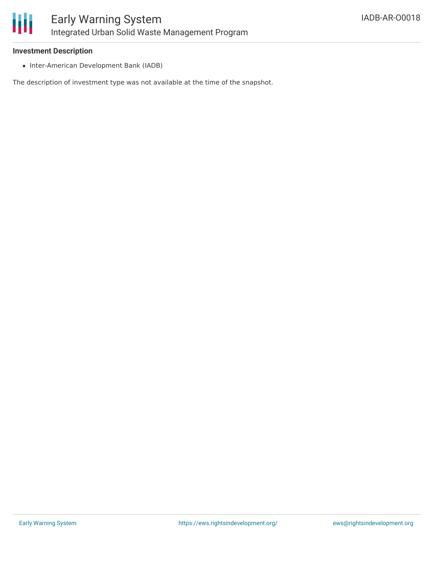

### **Investment Description**

• Inter-American Development Bank (IADB)

The description of investment type was not available at the time of the snapshot.